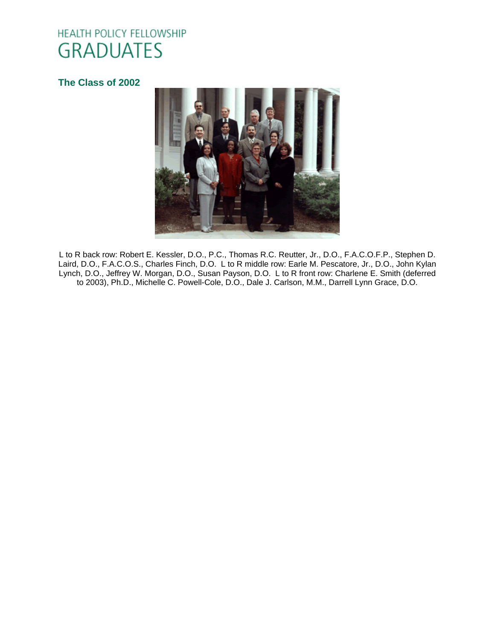# HEALTH POLICY FELLOWSHIP **GRADUATES**

# **[The Class of 2002](http://www.oucom.ohiou.edu/hpf/Graduates2012.htm)**



L to R back row: Robert E. Kessler, D.O., P.C., Thomas R.C. Reutter, Jr., D.O., F.A.C.O.F.P., Stephen D. Laird, D.O., F.A.C.O.S., Charles Finch, D.O. L to R middle row: Earle M. Pescatore, Jr., D.O., John Kylan Lynch, D.O., Jeffrey W. Morgan, D.O., Susan Payson, D.O. L to R front row: Charlene E. Smith (deferred to 2003), Ph.D., Michelle C. Powell-Cole, D.O., Dale J. Carlson, M.M., Darrell Lynn Grace, D.O.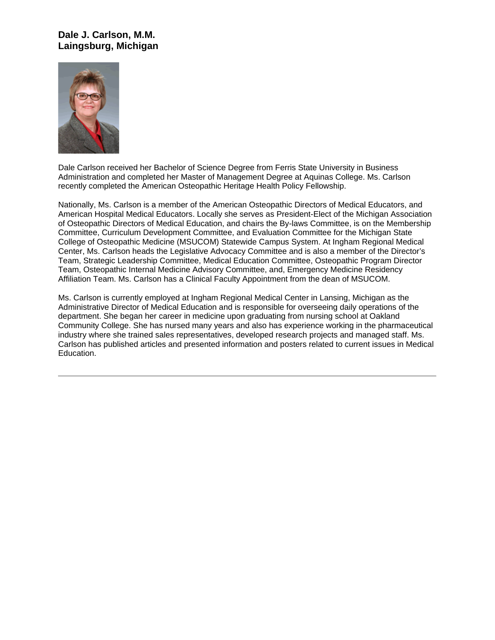# **Dale J. Carlson, M.M. Laingsburg, Michigan**



Dale Carlson received her Bachelor of Science Degree from Ferris State University in Business Administration and completed her Master of Management Degree at Aquinas College. Ms. Carlson recently completed the American Osteopathic Heritage Health Policy Fellowship.

Nationally, Ms. Carlson is a member of the American Osteopathic Directors of Medical Educators, and American Hospital Medical Educators. Locally she serves as President-Elect of the Michigan Association of Osteopathic Directors of Medical Education, and chairs the By-laws Committee, is on the Membership Committee, Curriculum Development Committee, and Evaluation Committee for the Michigan State College of Osteopathic Medicine (MSUCOM) Statewide Campus System. At Ingham Regional Medical Center, Ms. Carlson heads the Legislative Advocacy Committee and is also a member of the Director's Team, Strategic Leadership Committee, Medical Education Committee, Osteopathic Program Director Team, Osteopathic Internal Medicine Advisory Committee, and, Emergency Medicine Residency Affiliation Team. Ms. Carlson has a Clinical Faculty Appointment from the dean of MSUCOM.

Ms. Carlson is currently employed at Ingham Regional Medical Center in Lansing, Michigan as the Administrative Director of Medical Education and is responsible for overseeing daily operations of the department. She began her career in medicine upon graduating from nursing school at Oakland Community College. She has nursed many years and also has experience working in the pharmaceutical industry where she trained sales representatives, developed research projects and managed staff. Ms. Carlson has published articles and presented information and posters related to current issues in Medical Education.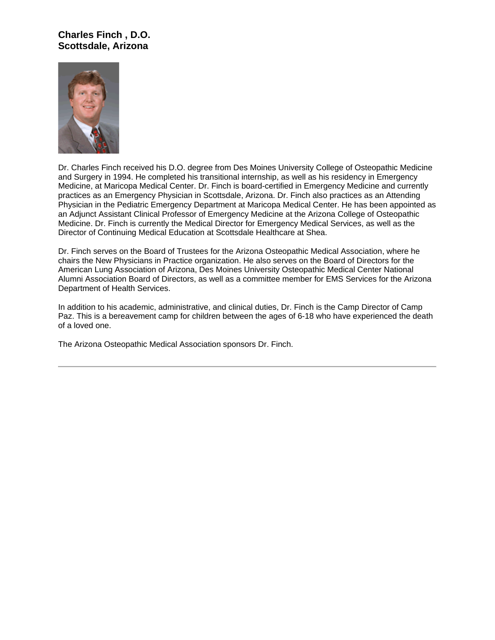# **Charles Finch , D.O. Scottsdale, Arizona**



Dr. Charles Finch received his D.O. degree from Des Moines University College of Osteopathic Medicine and Surgery in 1994. He completed his transitional internship, as well as his residency in Emergency Medicine, at Maricopa Medical Center. Dr. Finch is board-certified in Emergency Medicine and currently practices as an Emergency Physician in Scottsdale, Arizona. Dr. Finch also practices as an Attending Physician in the Pediatric Emergency Department at Maricopa Medical Center. He has been appointed as an Adjunct Assistant Clinical Professor of Emergency Medicine at the Arizona College of Osteopathic Medicine. Dr. Finch is currently the Medical Director for Emergency Medical Services, as well as the Director of Continuing Medical Education at Scottsdale Healthcare at Shea.

Dr. Finch serves on the Board of Trustees for the Arizona Osteopathic Medical Association, where he chairs the New Physicians in Practice organization. He also serves on the Board of Directors for the American Lung Association of Arizona, Des Moines University Osteopathic Medical Center National Alumni Association Board of Directors, as well as a committee member for EMS Services for the Arizona Department of Health Services.

In addition to his academic, administrative, and clinical duties, Dr. Finch is the Camp Director of Camp Paz. This is a bereavement camp for children between the ages of 6-18 who have experienced the death of a loved one.

The Arizona Osteopathic Medical Association sponsors Dr. Finch.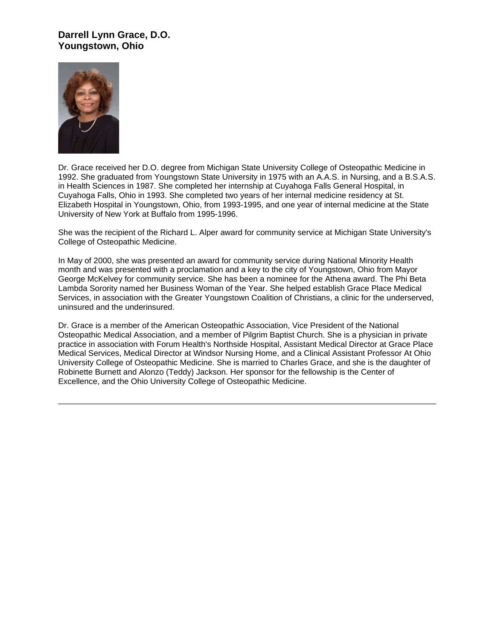## **Darrell Lynn Grace, D.O. Youngstown, Ohio**



Dr. Grace received her D.O. degree from Michigan State University College of Osteopathic Medicine in 1992. She graduated from Youngstown State University in 1975 with an A.A.S. in Nursing, and a B.S.A.S. in Health Sciences in 1987. She completed her internship at Cuyahoga Falls General Hospital, in Cuyahoga Falls, Ohio in 1993. She completed two years of her internal medicine residency at St. Elizabeth Hospital in Youngstown, Ohio, from 1993-1995, and one year of internal medicine at the State University of New York at Buffalo from 1995-1996.

She was the recipient of the Richard L. Alper award for community service at Michigan State University's College of Osteopathic Medicine.

In May of 2000, she was presented an award for community service during National Minority Health month and was presented with a proclamation and a key to the city of Youngstown, Ohio from Mayor George McKelvey for community service. She has been a nominee for the Athena award. The Phi Beta Lambda Sorority named her Business Woman of the Year. She helped establish Grace Place Medical Services, in association with the Greater Youngstown Coalition of Christians, a clinic for the underserved, uninsured and the underinsured.

Dr. Grace is a member of the American Osteopathic Association, Vice President of the National Osteopathic Medical Association, and a member of Pilgrim Baptist Church. She is a physician in private practice in association with Forum Health's Northside Hospital, Assistant Medical Director at Grace Place Medical Services, Medical Director at Windsor Nursing Home, and a Clinical Assistant Professor At Ohio University College of Osteopathic Medicine. She is married to Charles Grace, and she is the daughter of Robinette Burnett and Alonzo (Teddy) Jackson. Her sponsor for the fellowship is the Center of Excellence, and the Ohio University College of Osteopathic Medicine.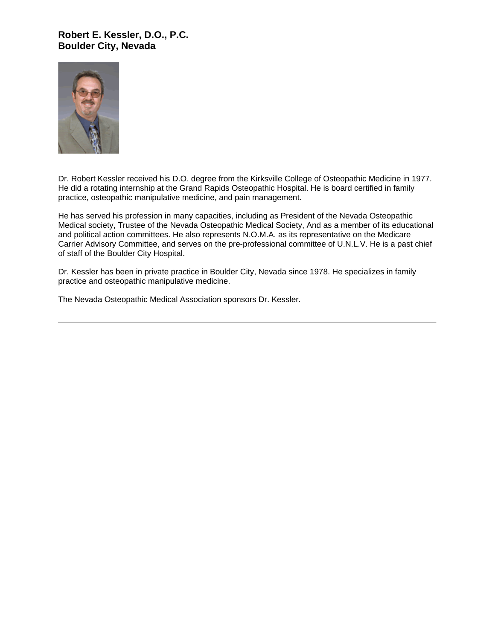## **Robert E. Kessler, D.O., P.C. Boulder City, Nevada**



Dr. Robert Kessler received his D.O. degree from the Kirksville College of Osteopathic Medicine in 1977. He did a rotating internship at the Grand Rapids Osteopathic Hospital. He is board certified in family practice, osteopathic manipulative medicine, and pain management.

He has served his profession in many capacities, including as President of the Nevada Osteopathic Medical society, Trustee of the Nevada Osteopathic Medical Society, And as a member of its educational and political action committees. He also represents N.O.M.A. as its representative on the Medicare Carrier Advisory Committee, and serves on the pre-professional committee of U.N.L.V. He is a past chief of staff of the Boulder City Hospital.

Dr. Kessler has been in private practice in Boulder City, Nevada since 1978. He specializes in family practice and osteopathic manipulative medicine.

The Nevada Osteopathic Medical Association sponsors Dr. Kessler.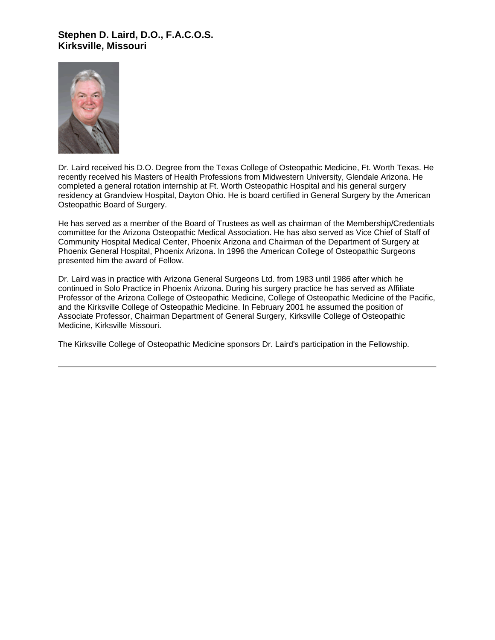## **Stephen D. Laird, D.O., F.A.C.O.S. Kirksville, Missouri**



Dr. Laird received his D.O. Degree from the Texas College of Osteopathic Medicine, Ft. Worth Texas. He recently received his Masters of Health Professions from Midwestern University, Glendale Arizona. He completed a general rotation internship at Ft. Worth Osteopathic Hospital and his general surgery residency at Grandview Hospital, Dayton Ohio. He is board certified in General Surgery by the American Osteopathic Board of Surgery.

He has served as a member of the Board of Trustees as well as chairman of the Membership/Credentials committee for the Arizona Osteopathic Medical Association. He has also served as Vice Chief of Staff of Community Hospital Medical Center, Phoenix Arizona and Chairman of the Department of Surgery at Phoenix General Hospital, Phoenix Arizona. In 1996 the American College of Osteopathic Surgeons presented him the award of Fellow.

Dr. Laird was in practice with Arizona General Surgeons Ltd. from 1983 until 1986 after which he continued in Solo Practice in Phoenix Arizona. During his surgery practice he has served as Affiliate Professor of the Arizona College of Osteopathic Medicine, College of Osteopathic Medicine of the Pacific, and the Kirksville College of Osteopathic Medicine. In February 2001 he assumed the position of Associate Professor, Chairman Department of General Surgery, Kirksville College of Osteopathic Medicine, Kirksville Missouri.

The Kirksville College of Osteopathic Medicine sponsors Dr. Laird's participation in the Fellowship.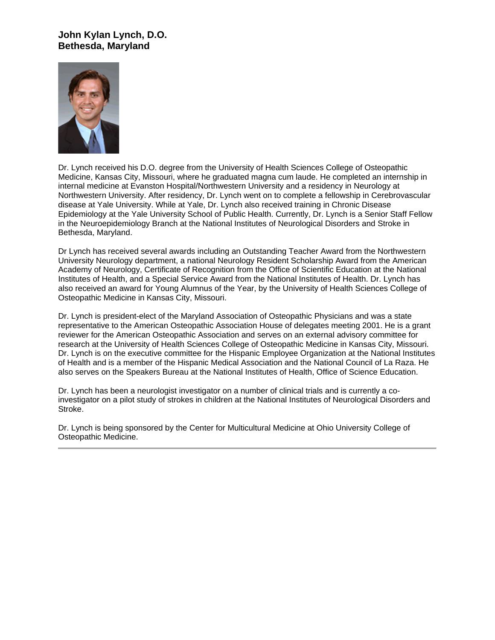# **John Kylan Lynch, D.O. Bethesda, Maryland**



Dr. Lynch received his D.O. degree from the University of Health Sciences College of Osteopathic Medicine, Kansas City, Missouri, where he graduated magna cum laude. He completed an internship in internal medicine at Evanston Hospital/Northwestern University and a residency in Neurology at Northwestern University. After residency, Dr. Lynch went on to complete a fellowship in Cerebrovascular disease at Yale University. While at Yale, Dr. Lynch also received training in Chronic Disease Epidemiology at the Yale University School of Public Health. Currently, Dr. Lynch is a Senior Staff Fellow in the Neuroepidemiology Branch at the National Institutes of Neurological Disorders and Stroke in Bethesda, Maryland.

Dr Lynch has received several awards including an Outstanding Teacher Award from the Northwestern University Neurology department, a national Neurology Resident Scholarship Award from the American Academy of Neurology, Certificate of Recognition from the Office of Scientific Education at the National Institutes of Health, and a Special Service Award from the National Institutes of Health. Dr. Lynch has also received an award for Young Alumnus of the Year, by the University of Health Sciences College of Osteopathic Medicine in Kansas City, Missouri.

Dr. Lynch is president-elect of the Maryland Association of Osteopathic Physicians and was a state representative to the American Osteopathic Association House of delegates meeting 2001. He is a grant reviewer for the American Osteopathic Association and serves on an external advisory committee for research at the University of Health Sciences College of Osteopathic Medicine in Kansas City, Missouri. Dr. Lynch is on the executive committee for the Hispanic Employee Organization at the National Institutes of Health and is a member of the Hispanic Medical Association and the National Council of La Raza. He also serves on the Speakers Bureau at the National Institutes of Health, Office of Science Education.

Dr. Lynch has been a neurologist investigator on a number of clinical trials and is currently a coinvestigator on a pilot study of strokes in children at the National Institutes of Neurological Disorders and Stroke.

Dr. Lynch is being sponsored by the Center for Multicultural Medicine at Ohio University College of Osteopathic Medicine.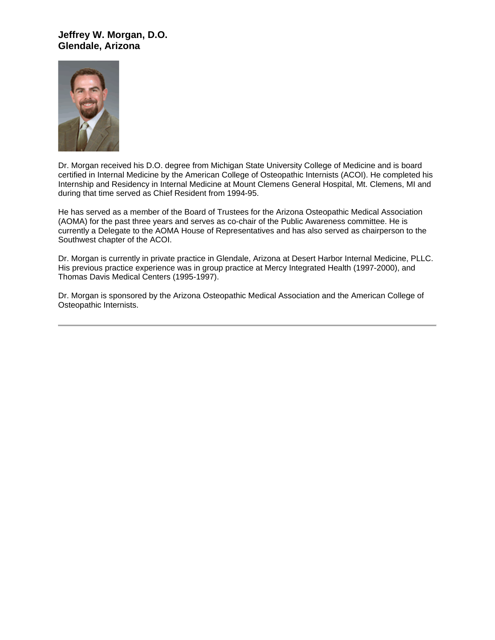## **Jeffrey W. Morgan, D.O. Glendale, Arizona**



Dr. Morgan received his D.O. degree from Michigan State University College of Medicine and is board certified in Internal Medicine by the American College of Osteopathic Internists (ACOI). He completed his Internship and Residency in Internal Medicine at Mount Clemens General Hospital, Mt. Clemens, MI and during that time served as Chief Resident from 1994-95.

He has served as a member of the Board of Trustees for the Arizona Osteopathic Medical Association (AOMA) for the past three years and serves as co-chair of the Public Awareness committee. He is currently a Delegate to the AOMA House of Representatives and has also served as chairperson to the Southwest chapter of the ACOI.

Dr. Morgan is currently in private practice in Glendale, Arizona at Desert Harbor Internal Medicine, PLLC. His previous practice experience was in group practice at Mercy Integrated Health (1997-2000), and Thomas Davis Medical Centers (1995-1997).

Dr. Morgan is sponsored by the Arizona Osteopathic Medical Association and the American College of Osteopathic Internists.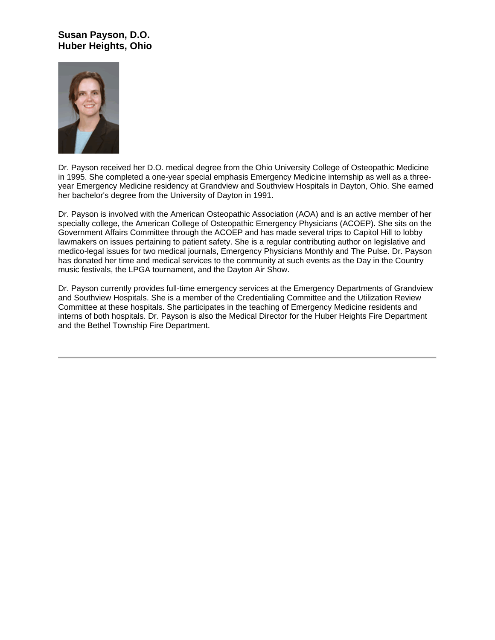# **Susan Payson, D.O. Huber Heights, Ohio**



Dr. Payson received her D.O. medical degree from the Ohio University College of Osteopathic Medicine in 1995. She completed a one-year special emphasis Emergency Medicine internship as well as a threeyear Emergency Medicine residency at Grandview and Southview Hospitals in Dayton, Ohio. She earned her bachelor's degree from the University of Dayton in 1991.

Dr. Payson is involved with the American Osteopathic Association (AOA) and is an active member of her specialty college, the American College of Osteopathic Emergency Physicians (ACOEP). She sits on the Government Affairs Committee through the ACOEP and has made several trips to Capitol Hill to lobby lawmakers on issues pertaining to patient safety. She is a regular contributing author on legislative and medico-legal issues for two medical journals, Emergency Physicians Monthly and The Pulse. Dr. Payson has donated her time and medical services to the community at such events as the Day in the Country music festivals, the LPGA tournament, and the Dayton Air Show.

Dr. Payson currently provides full-time emergency services at the Emergency Departments of Grandview and Southview Hospitals. She is a member of the Credentialing Committee and the Utilization Review Committee at these hospitals. She participates in the teaching of Emergency Medicine residents and interns of both hospitals. Dr. Payson is also the Medical Director for the Huber Heights Fire Department and the Bethel Township Fire Department.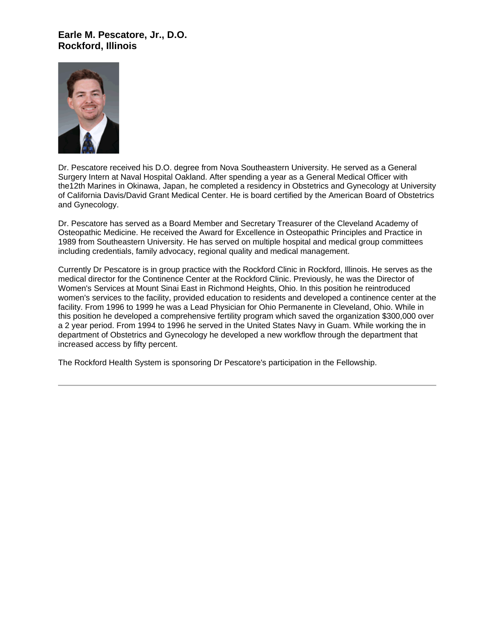### **Earle M. Pescatore, Jr., D.O. Rockford, Illinois**



Dr. Pescatore received his D.O. degree from Nova Southeastern University. He served as a General Surgery Intern at Naval Hospital Oakland. After spending a year as a General Medical Officer with the12th Marines in Okinawa, Japan, he completed a residency in Obstetrics and Gynecology at University of California Davis/David Grant Medical Center. He is board certified by the American Board of Obstetrics and Gynecology.

Dr. Pescatore has served as a Board Member and Secretary Treasurer of the Cleveland Academy of Osteopathic Medicine. He received the Award for Excellence in Osteopathic Principles and Practice in 1989 from Southeastern University. He has served on multiple hospital and medical group committees including credentials, family advocacy, regional quality and medical management.

Currently Dr Pescatore is in group practice with the Rockford Clinic in Rockford, Illinois. He serves as the medical director for the Continence Center at the Rockford Clinic. Previously, he was the Director of Women's Services at Mount Sinai East in Richmond Heights, Ohio. In this position he reintroduced women's services to the facility, provided education to residents and developed a continence center at the facility. From 1996 to 1999 he was a Lead Physician for Ohio Permanente in Cleveland, Ohio. While in this position he developed a comprehensive fertility program which saved the organization \$300,000 over a 2 year period. From 1994 to 1996 he served in the United States Navy in Guam. While working the in department of Obstetrics and Gynecology he developed a new workflow through the department that increased access by fifty percent.

The Rockford Health System is sponsoring Dr Pescatore's participation in the Fellowship.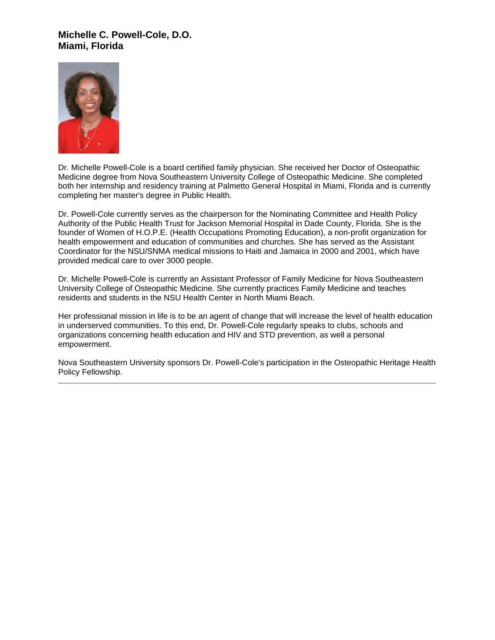## **Michelle C. Powell-Cole, D.O. Miami, Florida**



Dr. Michelle Powell-Cole is a board certified family physician. She received her Doctor of Osteopathic Medicine degree from Nova Southeastern University College of Osteopathic Medicine. She completed both her internship and residency training at Palmetto General Hospital in Miami, Florida and is currently completing her master's degree in Public Health.

Dr. Powell-Cole currently serves as the chairperson for the Nominating Committee and Health Policy Authority of the Public Health Trust for Jackson Memorial Hospital in Dade County, Florida. She is the founder of Women of H.O.P.E. (Health Occupations Promoting Education), a non-profit organization for health empowerment and education of communities and churches. She has served as the Assistant Coordinator for the NSU/SNMA medical missions to Haiti and Jamaica in 2000 and 2001, which have provided medical care to over 3000 people.

Dr. Michelle Powell-Cole is currently an Assistant Professor of Family Medicine for Nova Southeastern University College of Osteopathic Medicine. She currently practices Family Medicine and teaches residents and students in the NSU Health Center in North Miami Beach.

Her professional mission in life is to be an agent of change that will increase the level of health education in underserved communities. To this end, Dr. Powell-Cole regularly speaks to clubs, schools and organizations concerning health education and HIV and STD prevention, as well a personal empowerment.

Nova Southeastern University sponsors Dr. Powell-Cole's participation in the Osteopathic Heritage Health Policy Fellowship.